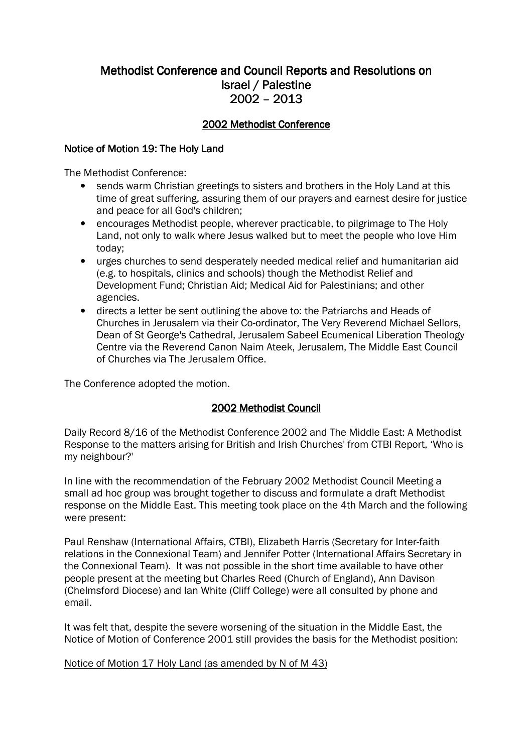# Methodist Conference and Council Reports and Resolutions on Israel / Palestine 2002 –2013

# 2002 Methodist Conference

### Notice of Motion 19: The Holy Land

The Methodist Conference:

- sends warm Christian greetings to sisters and brothers in the Holy Land at this time of great suffering, assuring them of our prayers and earnest desire for justice and peace for all God's children;
- encourages Methodist people, wherever practicable, to pilgrimage to The Holy Land, not only to walk where Jesus walked but to meet the people who love Him today;
- urges churches to send desperately needed medical relief and humanitarian aid (e.g. to hospitals, clinics and schools) though the Methodist Relief and Development Fund; Christian Aid; Medical Aid for Palestinians; and other agencies.
- directs a letter be sent outlining the above to: the Patriarchs and Heads of Churches in Jerusalem via their Co-ordinator, The Very Reverend Michael Sellors, Dean of St George's Cathedral, Jerusalem Sabeel Ecumenical Liberation Theology Centre via the Reverend Canon Naim Ateek, Jerusalem, The Middle East Council of Churches via The Jerusalem Office.

The Conference adopted the motion.

# 2002 Methodist Council

Daily Record 8/16 of the Methodist Conference 2002 and The Middle East: A Methodist Response to the matters arising for British and Irish Churches' from CTBI Report, 'Who is my neighbour?'

In line with the recommendation of the February 2002 Methodist Council Meeting a small ad hoc group was brought together to discuss and formulate a draft Methodist response on the Middle East. This meeting took place on the 4th March and the following were present:

Paul Renshaw (International Affairs, CTBI), Elizabeth Harris (Secretary for Inter-faith relations in the Connexional Team) and Jennifer Potter (International Affairs Secretary in the Connexional Team). It was not possible in the short time available to have other people present at the meeting but Charles Reed (Church of England), Ann Davison (Chelmsford Diocese) and Ian White (Cliff College) were all consulted by phone and email.

It was felt that, despite the severe worsening of the situation in the Middle East, the Notice of Motion of Conference 2001 still provides the basis for the Methodist position:

### Notice of Motion 17 Holy Land (as amended by N of M 43)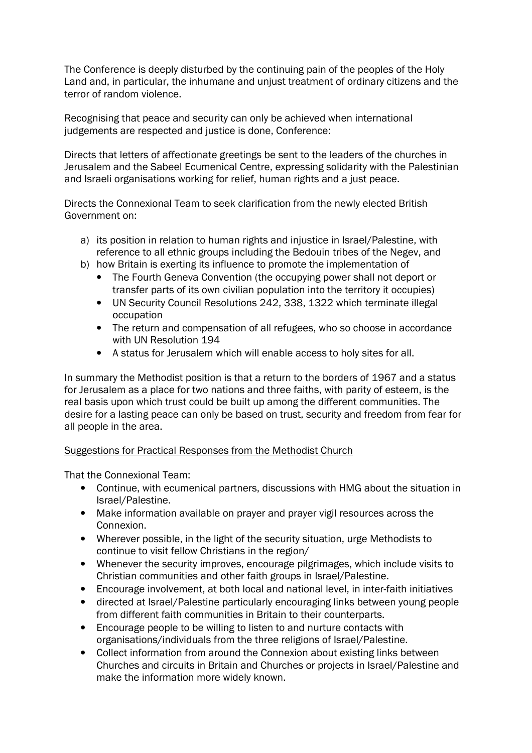The Conference is deeply disturbed by the continuing pain of the peoples of the Holy Land and, in particular, the inhumane and unjust treatment of ordinary citizens and the terror of random violence.

Recognising that peace and security can only be achieved when international judgements are respected and justice is done, Conference:

Directs that letters of affectionate greetings be sent to the leaders of the churches in Jerusalem and the Sabeel Ecumenical Centre, expressing solidarity with the Palestinian and Israeli organisations working for relief, human rights and a just peace.

Directs the Connexional Team to seek clarification from the newly elected British Government on:

- a) its position in relation to human rights and injustice in Israel/Palestine, with reference to all ethnic groups including the Bedouin tribes of the Negev, and
- b) how Britain is exerting its influence to promote the implementation of
	- The Fourth Geneva Convention (the occupying power shall not deport or transfer parts of its own civilian population into the territory it occupies)
	- UN Security Council Resolutions 242, 338, 1322 which terminate illegal occupation
	- The return and compensation of all refugees, who so choose in accordance with UN Resolution 194
	- A status for Jerusalem which will enable access to holy sites for all.

In summary the Methodist position is that a return to the borders of 1967 and a status for Jerusalem as a place for two nations and three faiths, with parity of esteem, is the real basis upon which trust could be built up among the different communities. The desire for a lasting peace can only be based on trust, security and freedom from fear for all people in the area.

# Suggestions for Practical Responses from the Methodist Church

That the Connexional Team:

- Continue, with ecumenical partners, discussions with HMG about the situation in Israel/Palestine.
- Make information available on prayer and prayer vigil resources across the Connexion.
- Wherever possible, in the light of the security situation, urge Methodists to continue to visit fellow Christians in the region/
- Whenever the security improves, encourage pilgrimages, which include visits to Christian communities and other faith groups in Israel/Palestine.
- Encourage involvement, at both local and national level, in inter-faith initiatives
- directed at Israel/Palestine particularly encouraging links between young people from different faith communities in Britain to their counterparts.
- Encourage people to be willing to listen to and nurture contacts with organisations/individuals from the three religions of Israel/Palestine.
- Collect information from around the Connexion about existing links between Churches and circuits in Britain and Churches or projects in Israel/Palestine and make the information more widely known.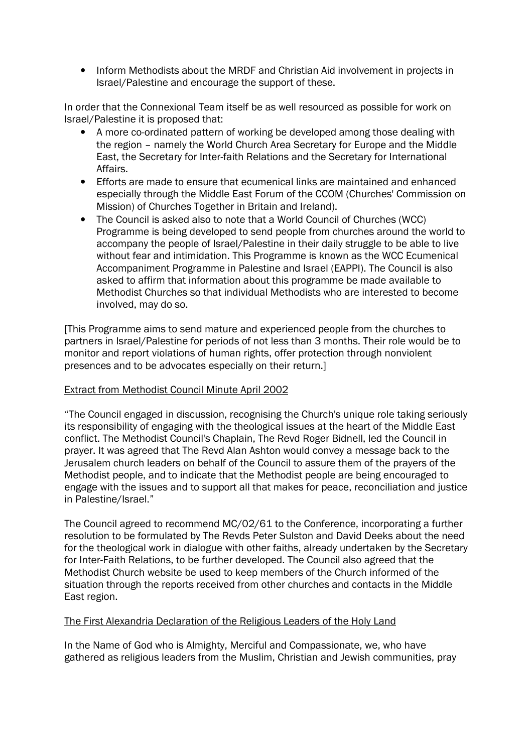• Inform Methodists about the MRDF and Christian Aid involvement in projects in Israel/Palestine and encourage the support of these.

In order that the Connexional Team itself be as well resourced as possible for work on Israel/Palestine it is proposed that:

- A more co-ordinated pattern of working be developed among those dealing with the region – namely the World Church Area Secretary for Europe and the Middle East, the Secretary for Inter-faith Relations and the Secretary for International Affairs.
- Efforts are made to ensure that ecumenical links are maintained and enhanced especially through the Middle East Forum of the CCOM (Churches' Commission on Mission) of Churches Together in Britain and Ireland).
- The Council is asked also to note that a World Council of Churches (WCC) Programme is being developed to send people from churches around the world to accompany the people of Israel/Palestine in their daily struggle to be able to live without fear and intimidation. This Programme is known as the WCC Ecumenical Accompaniment Programme in Palestine and Israel (EAPPI). The Council is also asked to affirm that information about this programme be made available to Methodist Churches so that individual Methodists who are interested to become involved, may do so.

[This Programme aims to send mature and experienced people from the churches to partners in Israel/Palestine for periods of not less than 3 months. Their role would be to monitor and report violations of human rights, offer protection through nonviolent presences and to be advocates especially on their return.]

### Extract from Methodist Council Minute April 2002

"The Council engaged in discussion, recognising the Church's unique role taking seriously its responsibility of engaging with the theological issues at the heart of the Middle East conflict. The Methodist Council's Chaplain, The Revd Roger Bidnell, led the Council in prayer. It was agreed that The Revd Alan Ashton would convey a message back to the Jerusalem church leaders on behalf of the Council to assure them of the prayers of the Methodist people, and to indicate that the Methodist people are being encouraged to engage with the issues and to support all that makes for peace, reconciliation and justice in Palestine/Israel."

The Council agreed to recommend MC/02/61 to the Conference, incorporating a further resolution to be formulated by The Revds Peter Sulston and David Deeks about the need for the theological work in dialogue with other faiths, already undertaken by the Secretary for Inter-Faith Relations, to be further developed. The Council also agreed that the Methodist Church website be used to keep members of the Church informed of the situation through the reports received from other churches and contacts in the Middle East region.

### The First Alexandria Declaration of the Religious Leaders of the Holy Land

In the Name of God who is Almighty, Merciful and Compassionate, we, who have gathered as religious leaders from the Muslim, Christian and Jewish communities, pray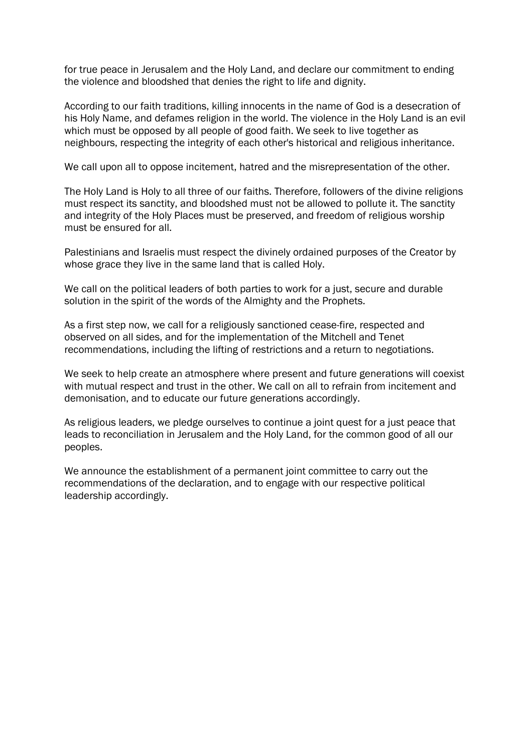for true peace in Jerusalem and the Holy Land, and declare our commitment to ending the violence and bloodshed that denies the right to life and dignity.

According to our faith traditions, killing innocents in the name of God is a desecration of his Holy Name, and defames religion in the world. The violence in the Holy Land is an evil which must be opposed by all people of good faith. We seek to live together as neighbours, respecting the integrity of each other's historical and religious inheritance.

We call upon all to oppose incitement, hatred and the misrepresentation of the other.

The Holy Land is Holy to all three of our faiths. Therefore, followers of the divine religions must respect its sanctity, and bloodshed must not be allowed to pollute it. The sanctity and integrity of the Holy Places must be preserved, and freedom of religious worship must be ensured for all.

Palestinians and Israelis must respect the divinely ordained purposes of the Creator by whose grace they live in the same land that is called Holy.

We call on the political leaders of both parties to work for a just, secure and durable solution in the spirit of the words of the Almighty and the Prophets.

As a first step now, we call for a religiously sanctioned cease-fire, respected and observed on all sides, and for the implementation of the Mitchell and Tenet recommendations, including the lifting of restrictions and a return to negotiations.

We seek to help create an atmosphere where present and future generations will coexist with mutual respect and trust in the other. We call on all to refrain from incitement and demonisation, and to educate our future generations accordingly.

As religious leaders, we pledge ourselves to continue a joint quest for a just peace that leads to reconciliation in Jerusalem and the Holy Land, for the common good of all our peoples.

We announce the establishment of a permanent joint committee to carry out the recommendations of the declaration, and to engage with our respective political leadership accordingly.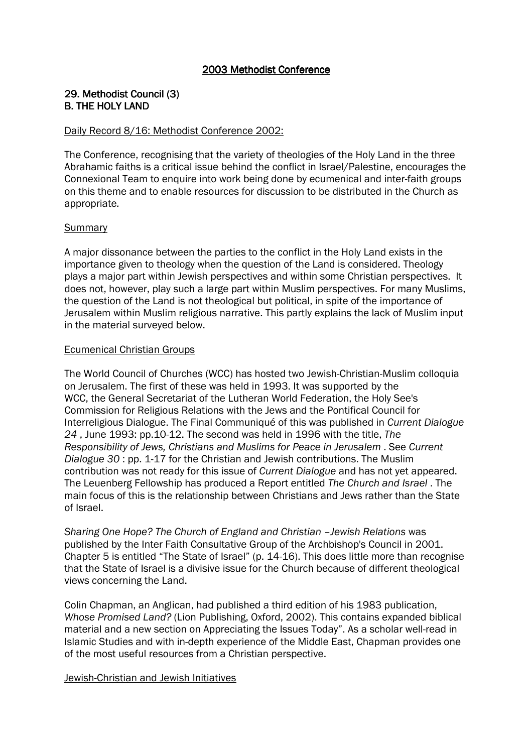### 29. Methodist Council (3) **B. THE HOLY LAND**

### Daily Record 8/16: Methodist Conference 2002:

The Conference, recognising that the variety of theologies of the Holy Land in the three Abrahamic faiths is a critical issue behind the conflict in Israel/Palestine, encourages the Connexional Team to enquire into work being done by ecumenical and inter-faith groups on this theme and to enable resources for discussion to be distributed in the Church as appropriate.

### **Summary**

A major dissonance between the parties to the conflict in the Holy Land exists in the importance given to theology when the question of the Land is considered. Theology plays a major part within Jewish perspectives and within some Christian perspectives. It does not, however, play such a large part within Muslim perspectives. For many Muslims, the question of the Land is not theological but political, in spite of the importance of Jerusalem within Muslim religious narrative. This partly explains the lack of Muslim input in the material surveyed below.

### Ecumenical Christian Groups

The World Council of Churches (WCC) has hosted two Jewish-Christian-Muslim colloquia on Jerusalem. The first of these was held in 1993. It was supported by the WCC, the General Secretariat of the Lutheran World Federation, the Holy See's Commission for Religious Relations with the Jews and the Pontifical Council for Interreligious Dialogue. The Final Communiqué of this was published in Current Dialogue 24 , June 1993: pp.10-12. The second was held in 1996 with the title, The Responsibility of Jews, Christians and Muslims for Peace in Jerusalem . See Current Dialogue 30 : pp. 1-17 for the Christian and Jewish contributions. The Muslim contribution was not ready for this issue of Current Dialogue and has not yet appeared. The Leuenberg Fellowship has produced a Report entitled The Church and Israel . The main focus of this is the relationship between Christians and Jews rather than the State of Israel.

Sharing One Hope? The Church of England and Christian –Jewish Relations was published by the Inter Faith Consultative Group of the Archbishop's Council in 2001. Chapter 5 is entitled "The State of Israel" (p. 14-16). This does little more than recognise that the State of Israel is a divisive issue for the Church because of different theological views concerning the Land.

Colin Chapman, an Anglican, had published a third edition of his 1983 publication, Whose Promised Land? (Lion Publishing, Oxford, 2002). This contains expanded biblical material and a new section on Appreciating the Issues Today". As a scholar well-read in Islamic Studies and with in-depth experience of the Middle East, Chapman provides one of the most useful resources from a Christian perspective.

### Jewish-Christian and Jewish Initiatives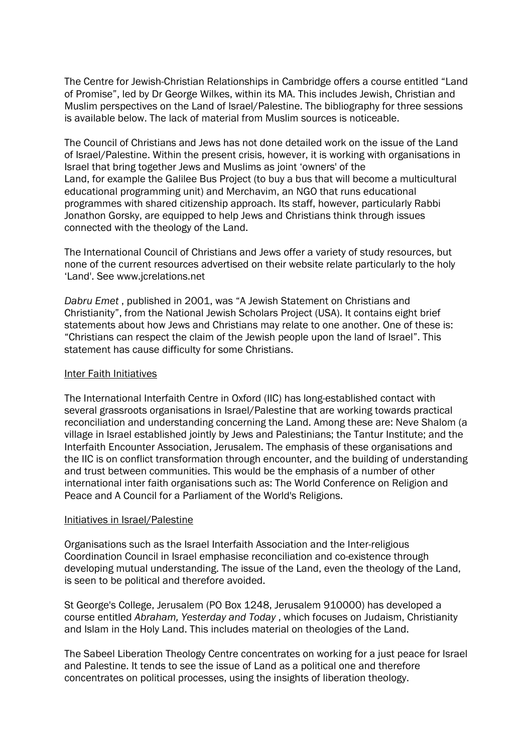The Centre for Jewish-Christian Relationships in Cambridge offers a course entitled "Land of Promise", led by Dr George Wilkes, within its MA. This includes Jewish, Christian and Muslim perspectives on the Land of Israel/Palestine. The bibliography for three sessions is available below. The lack of material from Muslim sources is noticeable.

The Council of Christians and Jews has not done detailed work on the issue of the Land of Israel/Palestine. Within the present crisis, however, it is working with organisations in Israel that bring together Jews and Muslims as joint 'owners' of the Land, for example the Galilee Bus Project (to buy a bus that will become a multicultural educational programming unit) and Merchavim, an NGO that runs educational programmes with shared citizenship approach. Its staff, however, particularly Rabbi Jonathon Gorsky, are equipped to help Jews and Christians think through issues connected with the theology of the Land.

The International Council of Christians and Jews offer a variety of study resources, but none of the current resources advertised on their website relate particularly to the holy 'Land'. See www.jcrelations.net

Dabru Emet , published in 2001, was "A Jewish Statement on Christians and Christianity", from the National Jewish Scholars Project (USA). It contains eight brief statements about how Jews and Christians may relate to one another. One of these is: "Christians can respect the claim of the Jewish people upon the land of Israel". This statement has cause difficulty for some Christians.

#### Inter Faith Initiatives

The International Interfaith Centre in Oxford (IIC) has long-established contact with several grassroots organisations in Israel/Palestine that are working towards practical reconciliation and understanding concerning the Land. Among these are: Neve Shalom (a village in Israel established jointly by Jews and Palestinians; the Tantur Institute; and the Interfaith Encounter Association, Jerusalem. The emphasis of these organisations and the IIC is on conflict transformation through encounter, and the building of understanding and trust between communities. This would be the emphasis of a number of other international inter faith organisations such as: The World Conference on Religion and Peace and A Council for a Parliament of the World's Religions.

#### Initiatives in Israel/Palestine

Organisations such as the Israel Interfaith Association and the Inter-religious Coordination Council in Israel emphasise reconciliation and co-existence through developing mutual understanding. The issue of the Land, even the theology of the Land, is seen to be political and therefore avoided.

St George's College, Jerusalem (PO Box 1248, Jerusalem 910000) has developed a course entitled Abraham, Yesterday and Today , which focuses on Judaism, Christianity and Islam in the Holy Land. This includes material on theologies of the Land.

The Sabeel Liberation Theology Centre concentrates on working for a just peace for Israel and Palestine. It tends to see the issue of Land as a political one and therefore concentrates on political processes, using the insights of liberation theology.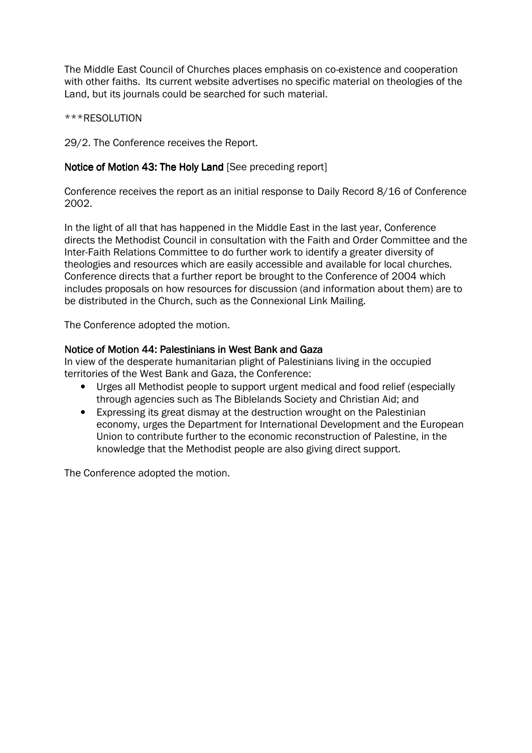The Middle East Council of Churches places emphasis on co-existence and cooperation with other faiths. Its current website advertises no specific material on theologies of the Land, but its journals could be searched for such material.

\*\*\*RESOLUTION

29/2. The Conference receives the Report.

# Notice of Motion 43: The Holy Land [See preceding report]

Conference receives the report as an initial response to Daily Record 8/16 of Conference 2002.

In the light of all that has happened in the Middle East in the last year, Conference directs the Methodist Council in consultation with the Faith and Order Committee and the Inter-Faith Relations Committee to do further work to identify a greater diversity of theologies and resources which are easily accessible and available for local churches. Conference directs that a further report be brought to the Conference of 2004 which includes proposals on how resources for discussion (and information about them) are to be distributed in the Church, such as the Connexional Link Mailing.

The Conference adopted the motion.

### Notice of Motion 44: Palestinians in West Bank and Gaza

In view of the desperate humanitarian plight of Palestinians living in the occupied territories of the West Bank and Gaza, the Conference:

- Urges all Methodist people to support urgent medical and food relief (especially through agencies such as The Biblelands Society and Christian Aid; and
- Expressing its great dismay at the destruction wrought on the Palestinian economy, urges the Department for International Development and the European Union to contribute further to the economic reconstruction of Palestine, in the knowledge that the Methodist people are also giving direct support.

The Conference adopted the motion.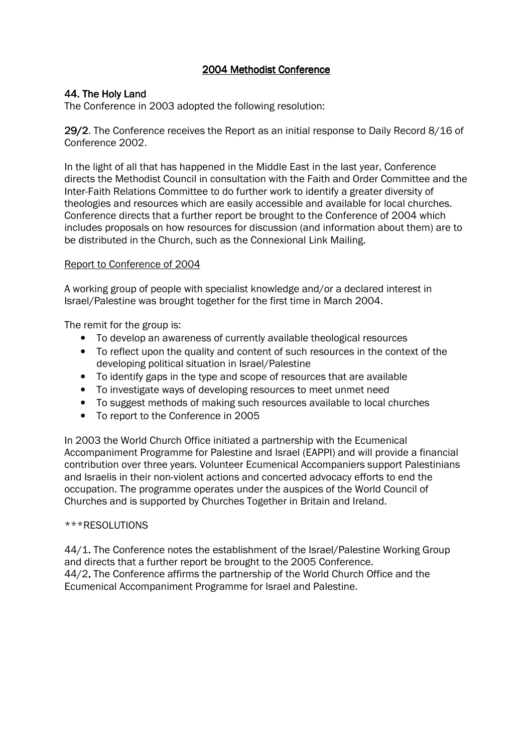# 44. The Holy Land

The Conference in 2003 adopted the following resolution:

29/2. The Conference receives the Report as an initial response to Daily Record  $8/16$  of Conference 2002.

In the light of all that has happened in the Middle East in the last year, Conference directs the Methodist Council in consultation with the Faith and Order Committee and the Inter-Faith Relations Committee to do further work to identify a greater diversity of theologies and resources which are easily accessible and available for local churches. Conference directs that a further report be brought to the Conference of 2004 which includes proposals on how resources for discussion (and information about them) are to be distributed in the Church, such as the Connexional Link Mailing.

### Report to Conference of 2004

A working group of people with specialist knowledge and/or a declared interest in Israel/Palestine was brought together for the first time in March 2004.

The remit for the group is:

- To develop an awareness of currently available theological resources
- To reflect upon the quality and content of such resources in the context of the developing political situation in Israel/Palestine
- To identify gaps in the type and scope of resources that are available
- To investigate ways of developing resources to meet unmet need
- To suggest methods of making such resources available to local churches
- To report to the Conference in 2005

In 2003 the World Church Office initiated a partnership with the Ecumenical Accompaniment Programme for Palestine and Israel (EAPPI) and will provide a financial contribution over three years. Volunteer Ecumenical Accompaniers support Palestinians and Israelis in their non-violent actions and concerted advocacy efforts to end the occupation. The programme operates under the auspices of the World Council of Churches and is supported by Churches Together in Britain and Ireland.

### \*\*\*RESOLUTIONS

44/1. The Conference notes the establishment of the Israel/Palestine Working Group and directs that a further report be brought to the 2005 Conference. 44/2. The Conference affirms the partnership of the World Church Office and the Ecumenical Accompaniment Programme for Israel and Palestine.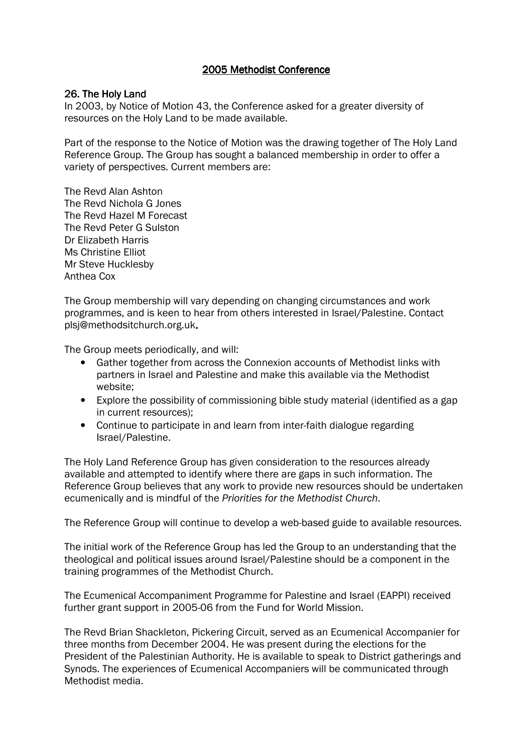### 26. The Holy Land

In 2003, by Notice of Motion 43, the Conference asked for a greater diversity of resources on the Holy Land to be made available.

Part of the response to the Notice of Motion was the drawing together of The Holy Land Reference Group. The Group has sought a balanced membership in order to offer a variety of perspectives. Current members are:

The Revd Alan Ashton The Revd Nichola G Jones The Revd Hazel M Forecast The Revd Peter G Sulston Dr Elizabeth Harris Ms Christine Elliot Mr Steve Hucklesby Anthea Cox

The Group membership will vary depending on changing circumstances and work programmes, and is keen to hear from others interested in Israel/Palestine. Contact plsj@methodsitchurch.org.uk.

The Group meets periodically, and will:

- Gather together from across the Connexion accounts of Methodist links with partners in Israel and Palestine and make this available via the Methodist website;
- Explore the possibility of commissioning bible study material (identified as a gap in current resources);
- Continue to participate in and learn from inter-faith dialogue regarding Israel/Palestine.

The Holy Land Reference Group has given consideration to the resources already available and attempted to identify where there are gaps in such information. The Reference Group believes that any work to provide new resources should be undertaken ecumenically and is mindful of the Priorities for the Methodist Church.

The Reference Group will continue to develop a web-based guide to available resources.

The initial work of the Reference Group has led the Group to an understanding that the theological and political issues around Israel/Palestine should be a component in the training programmes of the Methodist Church.

The Ecumenical Accompaniment Programme for Palestine and Israel (EAPPI) received further grant support in 2005-06 from the Fund for World Mission.

The Revd Brian Shackleton, Pickering Circuit, served as an Ecumenical Accompanier for three months from December 2004. He was present during the elections for the President of the Palestinian Authority. He is available to speak to District gatherings and Synods. The experiences of Ecumenical Accompaniers will be communicated through Methodist media.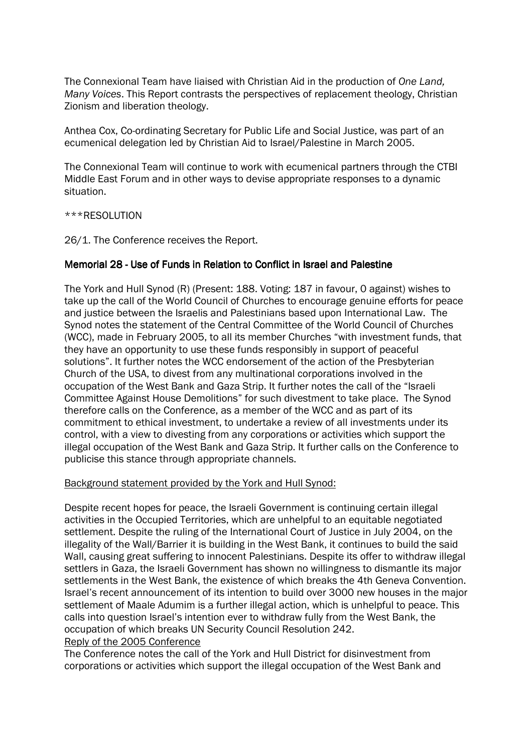The Connexional Team have liaised with Christian Aid in the production of One Land, Many Voices. This Report contrasts the perspectives of replacement theology, Christian Zionism and liberation theology.

Anthea Cox, Co-ordinating Secretary for Public Life and Social Justice, was part of an ecumenical delegation led by Christian Aid to Israel/Palestine in March 2005.

The Connexional Team will continue to work with ecumenical partners through the CTBI Middle East Forum and in other ways to devise appropriate responses to a dynamic situation.

\*\*\*RESOLUTION

26/1. The Conference receives the Report.

### Memorial 28 - Use of Funds in Relation to Conflict in Israel and Palestine

The York and Hull Synod (R) (Present: 188. Voting: 187 in favour, 0 against) wishes to take up the call of the World Council of Churches to encourage genuine efforts for peace and justice between the Israelis and Palestinians based upon International Law. The Synod notes the statement of the Central Committee of the World Council of Churches (WCC), made in February 2005, to all its member Churches "with investment funds, that they have an opportunity to use these funds responsibly in support of peaceful solutions". It further notes the WCC endorsement of the action of the Presbyterian Church of the USA, to divest from any multinational corporations involved in the occupation of the West Bank and Gaza Strip. It further notes the call of the "Israeli Committee Against House Demolitions" for such divestment to take place. The Synod therefore calls on the Conference, as a member of the WCC and as part of its commitment to ethical investment, to undertake a review of all investments under its control, with a view to divesting from any corporations or activities which support the illegal occupation of the West Bank and Gaza Strip. It further calls on the Conference to publicise this stance through appropriate channels.

#### Background statement provided by the York and Hull Synod:

Despite recent hopes for peace, the Israeli Government is continuing certain illegal activities in the Occupied Territories, which are unhelpful to an equitable negotiated settlement. Despite the ruling of the International Court of Justice in July 2004, on the illegality of the Wall/Barrier it is building in the West Bank, it continues to build the said Wall, causing great suffering to innocent Palestinians. Despite its offer to withdraw illegal settlers in Gaza, the Israeli Government has shown no willingness to dismantle its major settlements in the West Bank, the existence of which breaks the 4th Geneva Convention. Israel's recent announcement of its intention to build over 3000 new houses in the major settlement of Maale Adumim is a further illegal action, which is unhelpful to peace. This calls into question Israel's intention ever to withdraw fully from the West Bank, the occupation of which breaks UN Security Council Resolution 242. Reply of the 2005 Conference

The Conference notes the call of the York and Hull District for disinvestment from corporations or activities which support the illegal occupation of the West Bank and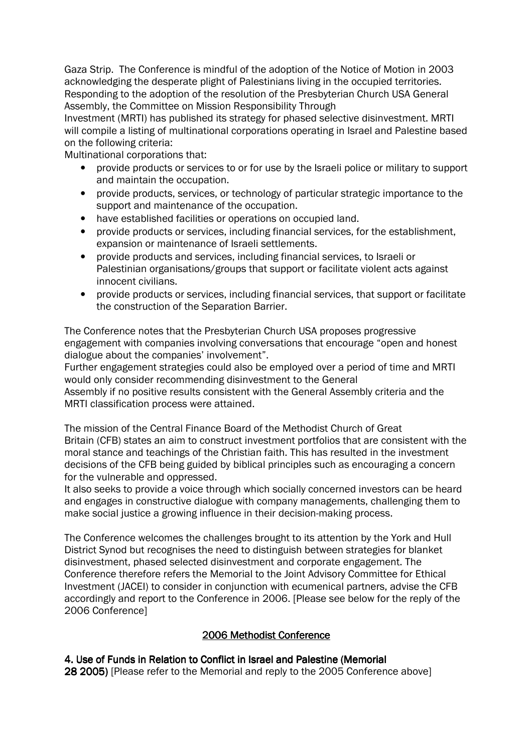Gaza Strip. The Conference is mindful of the adoption of the Notice of Motion in 2003 acknowledging the desperate plight of Palestinians living in the occupied territories. Responding to the adoption of the resolution of the Presbyterian Church USA General Assembly, the Committee on Mission Responsibility Through

Investment (MRTI) has published its strategy for phased selective disinvestment. MRTI will compile a listing of multinational corporations operating in Israel and Palestine based on the following criteria:

Multinational corporations that:

- provide products or services to or for use by the Israeli police or military to support and maintain the occupation.
- provide products, services, or technology of particular strategic importance to the support and maintenance of the occupation.
- have established facilities or operations on occupied land.
- provide products or services, including financial services, for the establishment, expansion or maintenance of Israeli settlements.
- provide products and services, including financial services, to Israeli or Palestinian organisations/groups that support or facilitate violent acts against innocent civilians.
- provide products or services, including financial services, that support or facilitate the construction of the Separation Barrier.

The Conference notes that the Presbyterian Church USA proposes progressive engagement with companies involving conversations that encourage "open and honest dialogue about the companies' involvement".

Further engagement strategies could also be employed over a period of time and MRTI would only consider recommending disinvestment to the General

Assembly if no positive results consistent with the General Assembly criteria and the MRTI classification process were attained.

The mission of the Central Finance Board of the Methodist Church of Great Britain (CFB) states an aim to construct investment portfolios that are consistent with the moral stance and teachings of the Christian faith. This has resulted in the investment decisions of the CFB being guided by biblical principles such as encouraging a concern for the vulnerable and oppressed.

It also seeks to provide a voice through which socially concerned investors can be heard and engages in constructive dialogue with company managements, challenging them to make social justice a growing influence in their decision-making process.

The Conference welcomes the challenges brought to its attention by the York and Hull District Synod but recognises the need to distinguish between strategies for blanket disinvestment, phased selected disinvestment and corporate engagement. The Conference therefore refers the Memorial to the Joint Advisory Committee for Ethical Investment (JACEI) to consider in conjunction with ecumenical partners, advise the CFB accordingly and report to the Conference in 2006. [Please see below for the reply of the 2006 Conference]

# 2006 Methodist Conference

# 4. Use of Funds in Relation to Conflict in Israel and Palestine (Memorial

28 2005) [Please refer to the Memorial and reply to the 2005 Conference above]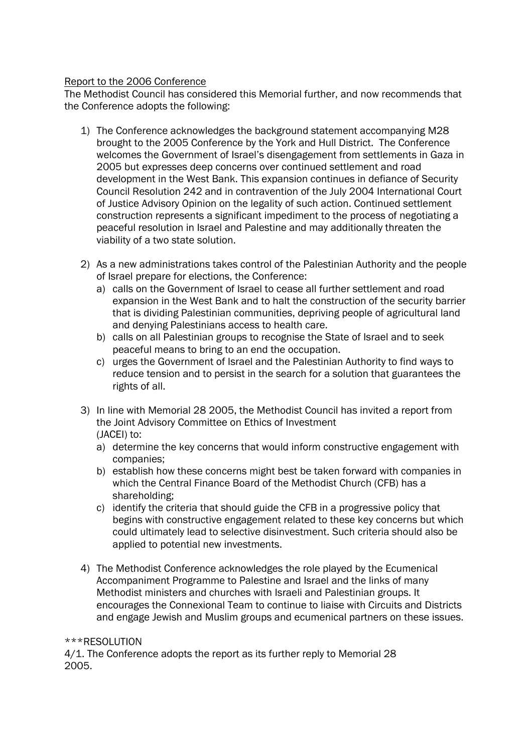# Report to the 2006 Conference

The Methodist Council has considered this Memorial further, and now recommends that the Conference adopts the following:

- 1) The Conference acknowledges the background statement accompanying M28 brought to the 2005 Conference by the York and Hull District. The Conference welcomes the Government of Israel's disengagement from settlements in Gaza in 2005 but expresses deep concerns over continued settlement and road development in the West Bank. This expansion continues in defiance of Security Council Resolution 242 and in contravention of the July 2004 International Court of Justice Advisory Opinion on the legality of such action. Continued settlement construction represents a significant impediment to the process of negotiating a peaceful resolution in Israel and Palestine and may additionally threaten the viability of a two state solution.
- 2) As a new administrations takes control of the Palestinian Authority and the people of Israel prepare for elections, the Conference:
	- a) calls on the Government of Israel to cease all further settlement and road expansion in the West Bank and to halt the construction of the security barrier that is dividing Palestinian communities, depriving people of agricultural land and denying Palestinians access to health care.
	- b) calls on all Palestinian groups to recognise the State of Israel and to seek peaceful means to bring to an end the occupation.
	- c) urges the Government of Israel and the Palestinian Authority to find ways to reduce tension and to persist in the search for a solution that guarantees the rights of all.
- 3) In line with Memorial 28 2005, the Methodist Council has invited a report from the Joint Advisory Committee on Ethics of Investment (JACEI) to:
	- a) determine the key concerns that would inform constructive engagement with companies;
	- b) establish how these concerns might best be taken forward with companies in which the Central Finance Board of the Methodist Church (CFB) has a shareholding;
	- c) identify the criteria that should guide the CFB in a progressive policy that begins with constructive engagement related to these key concerns but which could ultimately lead to selective disinvestment. Such criteria should also be applied to potential new investments.
- 4) The Methodist Conference acknowledges the role played by the Ecumenical Accompaniment Programme to Palestine and Israel and the links of many Methodist ministers and churches with Israeli and Palestinian groups. It encourages the Connexional Team to continue to liaise with Circuits and Districts and engage Jewish and Muslim groups and ecumenical partners on these issues.

### \*\*\*RESOLUTION

4/1. The Conference adopts the report as its further reply to Memorial 28 2005.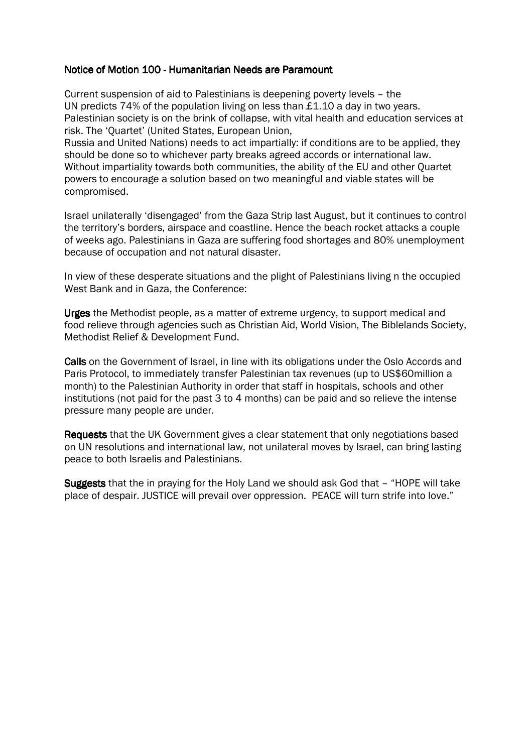### Notice of Motion 100 - Humanitarian Needs are Paramount

Current suspension of aid to Palestinians is deepening poverty levels – the UN predicts 74% of the population living on less than £1.10 a day in two years. Palestinian society is on the brink of collapse, with vital health and education services at risk. The 'Quartet' (United States, European Union,

Russia and United Nations) needs to act impartially: if conditions are to be applied, they should be done so to whichever party breaks agreed accords or international law. Without impartiality towards both communities, the ability of the EU and other Quartet powers to encourage a solution based on two meaningful and viable states will be compromised.

Israel unilaterally 'disengaged' from the Gaza Strip last August, but it continues to control the territory's borders, airspace and coastline. Hence the beach rocket attacks a couple of weeks ago. Palestinians in Gaza are suffering food shortages and 80% unemployment because of occupation and not natural disaster.

In view of these desperate situations and the plight of Palestinians living n the occupied West Bank and in Gaza, the Conference:

Urges the Methodist people, as a matter of extreme urgency, to support medical and food relieve through agencies such as Christian Aid, World Vision, The Biblelands Society, Methodist Relief & Development Fund.

Calls on the Government of Israel, in line with its obligations under the Oslo Accords and Paris Protocol, to immediately transfer Palestinian tax revenues (up to US\$60million a month) to the Palestinian Authority in order that staff in hospitals, schools and other institutions (not paid for the past 3 to 4 months) can be paid and so relieve the intense pressure many people are under.

Requests that the UK Government gives a clear statement that only negotiations based on UN resolutions and international law, not unilateral moves by Israel, can bring lasting peace to both Israelis and Palestinians.

Suggests that the in praying for the Holy Land we should ask God that - "HOPE will take place of despair. JUSTICE will prevail over oppression. PEACE will turn strife into love."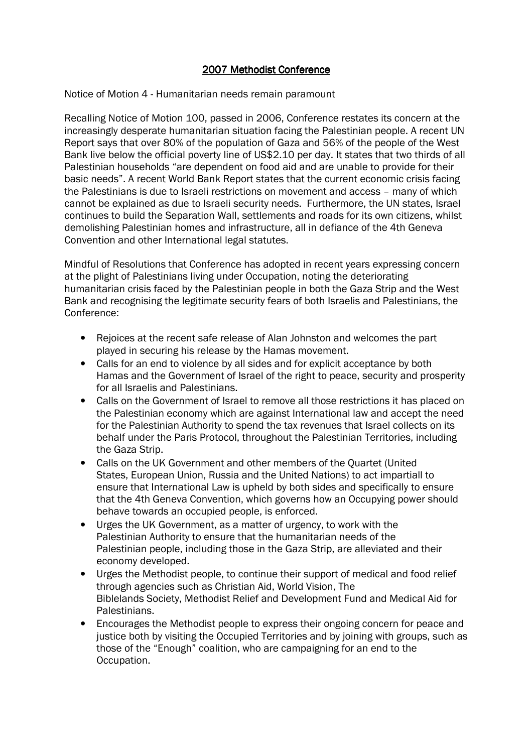Notice of Motion 4 - Humanitarian needs remain paramount

Recalling Notice of Motion 100, passed in 2006, Conference restates its concern at the increasingly desperate humanitarian situation facing the Palestinian people. A recent UN Report says that over 80% of the population of Gaza and 56% of the people of the West Bank live below the official poverty line of US\$2.10 per day. It states that two thirds of all Palestinian households "are dependent on food aid and are unable to provide for their basic needs". A recent World Bank Report states that the current economic crisis facing the Palestinians is due to Israeli restrictions on movement and access – many of which cannot be explained as due to Israeli security needs. Furthermore, the UN states, Israel continues to build the Separation Wall, settlements and roads for its own citizens, whilst demolishing Palestinian homes and infrastructure, all in defiance of the 4th Geneva Convention and other International legal statutes.

Mindful of Resolutions that Conference has adopted in recent years expressing concern at the plight of Palestinians living under Occupation, noting the deteriorating humanitarian crisis faced by the Palestinian people in both the Gaza Strip and the West Bank and recognising the legitimate security fears of both Israelis and Palestinians, the Conference:

- Rejoices at the recent safe release of Alan Johnston and welcomes the part played in securing his release by the Hamas movement.
- Calls for an end to violence by all sides and for explicit acceptance by both Hamas and the Government of Israel of the right to peace, security and prosperity for all Israelis and Palestinians.
- Calls on the Government of Israel to remove all those restrictions it has placed on the Palestinian economy which are against International law and accept the need for the Palestinian Authority to spend the tax revenues that Israel collects on its behalf under the Paris Protocol, throughout the Palestinian Territories, including the Gaza Strip.
- Calls on the UK Government and other members of the Quartet (United States, European Union, Russia and the United Nations) to act impartiall to ensure that International Law is upheld by both sides and specifically to ensure that the 4th Geneva Convention, which governs how an Occupying power should behave towards an occupied people, is enforced.
- Urges the UK Government, as a matter of urgency, to work with the Palestinian Authority to ensure that the humanitarian needs of the Palestinian people, including those in the Gaza Strip, are alleviated and their economy developed.
- Urges the Methodist people, to continue their support of medical and food relief through agencies such as Christian Aid, World Vision, The Biblelands Society, Methodist Relief and Development Fund and Medical Aid for Palestinians.
- Encourages the Methodist people to express their ongoing concern for peace and justice both by visiting the Occupied Territories and by joining with groups, such as those of the "Enough" coalition, who are campaigning for an end to the Occupation.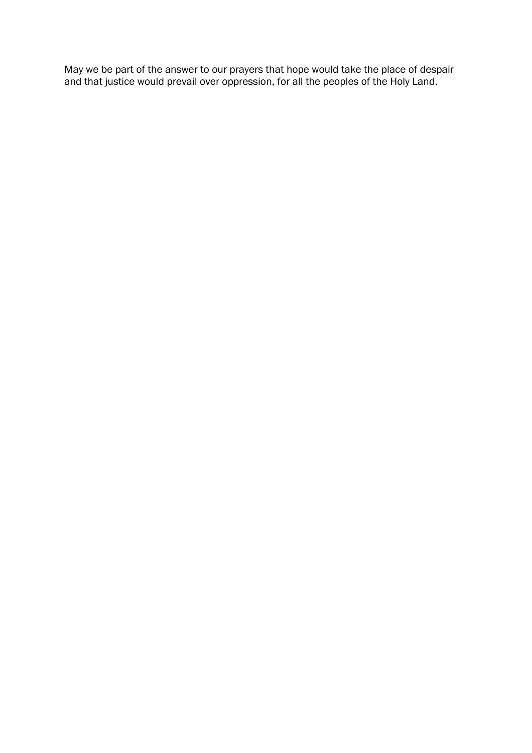May we be part of the answer to our prayers that hope would take the place of despair and that justice would prevail over oppression, for all the peoples of the Holy Land.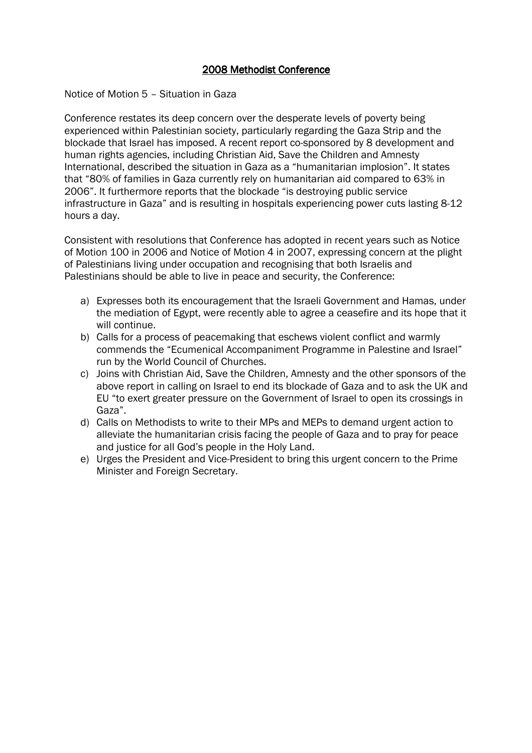Notice of Motion 5 – Situation in Gaza

Conference restates its deep concern over the desperate levels of poverty being experienced within Palestinian society, particularly regarding the Gaza Strip and the blockade that Israel has imposed. A recent report co-sponsored by 8 development and human rights agencies, including Christian Aid, Save the Children and Amnesty International, described the situation in Gaza as a "humanitarian implosion". It states that "80% of families in Gaza currently rely on humanitarian aid compared to 63% in 2006". It furthermore reports that the blockade "is destroying public service infrastructure in Gaza" and is resulting in hospitals experiencing power cuts lasting 8-12 hours a day.

Consistent with resolutions that Conference has adopted in recent years such as Notice of Motion 100 in 2006 and Notice of Motion 4 in 2007, expressing concern at the plight of Palestinians living under occupation and recognising that both Israelis and Palestinians should be able to live in peace and security, the Conference:

- a) Expresses both its encouragement that the Israeli Government and Hamas, under the mediation of Egypt, were recently able to agree a ceasefire and its hope that it will continue.
- b) Calls for a process of peacemaking that eschews violent conflict and warmly commends the "Ecumenical Accompaniment Programme in Palestine and Israel" run by the World Council of Churches.
- c) Joins with Christian Aid, Save the Children, Amnesty and the other sponsors of the above report in calling on Israel to end its blockade of Gaza and to ask the UK and EU "to exert greater pressure on the Government of Israel to open its crossings in Gaza".
- d) Calls on Methodists to write to their MPs and MEPs to demand urgent action to alleviate the humanitarian crisis facing the people of Gaza and to pray for peace and justice for all God's people in the Holy Land.
- e) Urges the President and Vice-President to bring this urgent concern to the Prime Minister and Foreign Secretary.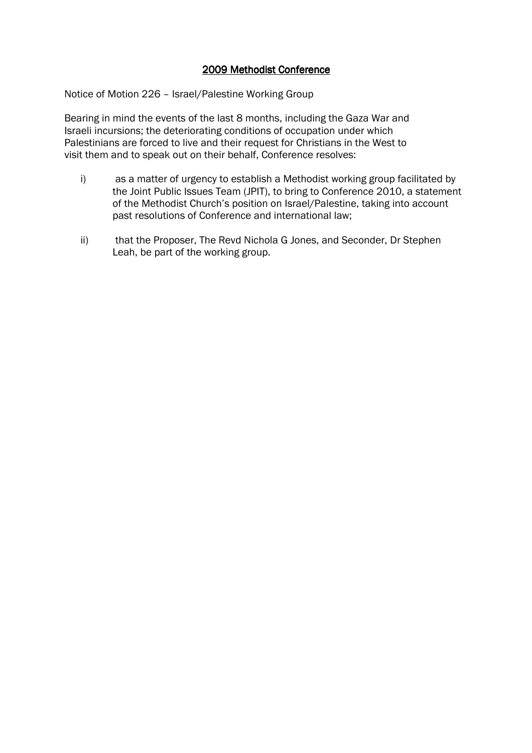Notice of Motion 226 – Israel/Palestine Working Group

Bearing in mind the events of the last 8 months, including the Gaza War and Israeli incursions; the deteriorating conditions of occupation under which Palestinians are forced to live and their request for Christians in the West to visit them and to speak out on their behalf, Conference resolves:

- i) as a matter of urgency to establish a Methodist working group facilitated by the Joint Public Issues Team (JPIT), to bring to Conference 2010, a statement of the Methodist Church's position on Israel/Palestine, taking into account past resolutions of Conference and international law;
- ii) that the Proposer, The Revd Nichola G Jones, and Seconder, Dr Stephen Leah, be part of the working group.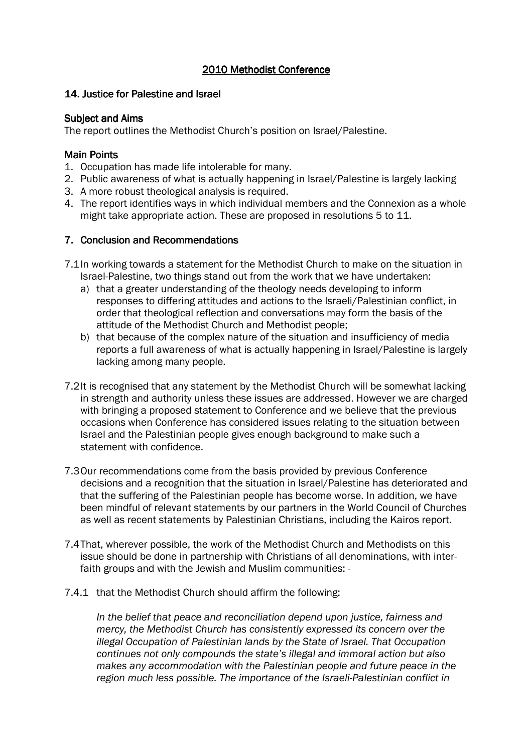# 2010 Methodist Conference 2010 Methodist Conference

# 14. Justice for Palestine and Israel

### Subject and Aims

The report outlines the Methodist Church's position on Israel/Palestine.

### **Main Points**

- 1. Occupation has made life intolerable for many.
- 2. Public awareness of what is actually happening in Israel/Palestine is largely lacking
- 3. A more robust theological analysis is required.
- 4. The report identifies ways in which individual members and the Connexion as a whole might take appropriate action. These are proposed in resolutions 5 to 11.

### 7. Conclusion and Recommendations

- 7.1In working towards a statement for the Methodist Church to make on the situation in Israel-Palestine, two things stand out from the work that we have undertaken:
	- a) that a greater understanding of the theology needs developing to inform responses to differing attitudes and actions to the Israeli/Palestinian conflict, in order that theological reflection and conversations may form the basis of the attitude of the Methodist Church and Methodist people;
	- b) that because of the complex nature of the situation and insufficiency of media reports a full awareness of what is actually happening in Israel/Palestine is largely lacking among many people.
- 7.2It is recognised that any statement by the Methodist Church will be somewhat lacking in strength and authority unless these issues are addressed. However we are charged with bringing a proposed statement to Conference and we believe that the previous occasions when Conference has considered issues relating to the situation between Israel and the Palestinian people gives enough background to make such a statement with confidence.
- 7.3Our recommendations come from the basis provided by previous Conference decisions and a recognition that the situation in Israel/Palestine has deteriorated and that the suffering of the Palestinian people has become worse. In addition, we have been mindful of relevant statements by our partners in the World Council of Churches as well as recent statements by Palestinian Christians, including the Kairos report.
- 7.4That, wherever possible, the work of the Methodist Church and Methodists on this issue should be done in partnership with Christians of all denominations, with interfaith groups and with the Jewish and Muslim communities: -
- 7.4.1 that the Methodist Church should affirm the following:

In the belief that peace and reconciliation depend upon justice, fairness and mercy, the Methodist Church has consistently expressed its concern over the illegal Occupation of Palestinian lands by the State of Israel. That Occupation continues not only compounds the state's illegal and immoral action but also makes any accommodation with the Palestinian people and future peace in the region much less possible. The importance of the Israeli-Palestinian conflict in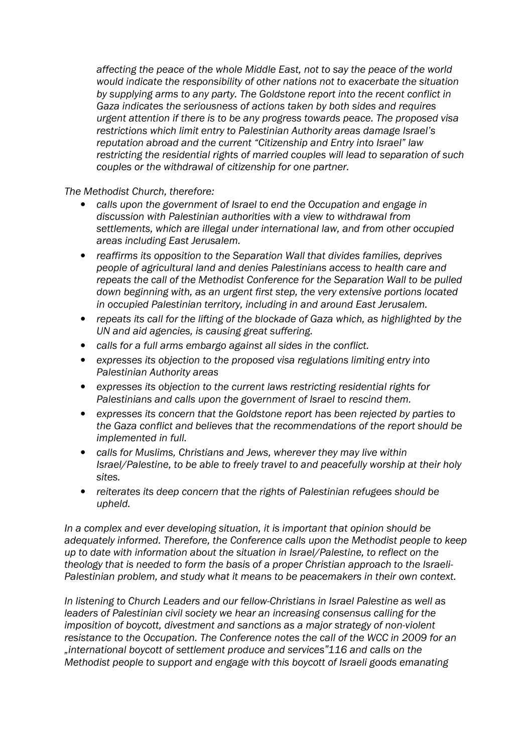affecting the peace of the whole Middle East, not to say the peace of the world would indicate the responsibility of other nations not to exacerbate the situation by supplying arms to any party. The Goldstone report into the recent conflict in Gaza indicates the seriousness of actions taken by both sides and requires urgent attention if there is to be any progress towards peace. The proposed visa restrictions which limit entry to Palestinian Authority areas damage Israel's reputation abroad and the current "Citizenship and Entry into Israel" law restricting the residential rights of married couples will lead to separation of such couples or the withdrawal of citizenship for one partner.

The Methodist Church, therefore:

- calls upon the government of Israel to end the Occupation and engage in discussion with Palestinian authorities with a view to withdrawal from settlements, which are illegal under international law, and from other occupied areas including East Jerusalem.
- reaffirms its opposition to the Separation Wall that divides families, deprives people of agricultural land and denies Palestinians access to health care and repeats the call of the Methodist Conference for the Separation Wall to be pulled down beginning with, as an urgent first step, the very extensive portions located in occupied Palestinian territory, including in and around East Jerusalem.
- repeats its call for the lifting of the blockade of Gaza which, as highlighted by the UN and aid agencies, is causing great suffering.
- calls for a full arms embargo against all sides in the conflict.
- expresses its objection to the proposed visa regulations limiting entry into Palestinian Authority areas
- expresses its objection to the current laws restricting residential rights for Palestinians and calls upon the government of Israel to rescind them.
- expresses its concern that the Goldstone report has been rejected by parties to the Gaza conflict and believes that the recommendations of the report should be implemented in full.
- calls for Muslims, Christians and Jews, wherever they may live within Israel/Palestine, to be able to freely travel to and peacefully worship at their holy sites.
- reiterates its deep concern that the rights of Palestinian refugees should be upheld.

In a complex and ever developing situation, it is important that opinion should be adequately informed. Therefore, the Conference calls upon the Methodist people to keep up to date with information about the situation in Israel/Palestine, to reflect on the theology that is needed to form the basis of a proper Christian approach to the Israeli-Palestinian problem, and study what it means to be peacemakers in their own context.

In listening to Church Leaders and our fellow-Christians in Israel Palestine as well as leaders of Palestinian civil society we hear an increasing consensus calling for the imposition of boycott, divestment and sanctions as a major strategy of non-violent resistance to the Occupation. The Conference notes the call of the WCC in 2009 for an "international boycott of settlement produce and services"116 and calls on the Methodist people to support and engage with this boycott of Israeli goods emanating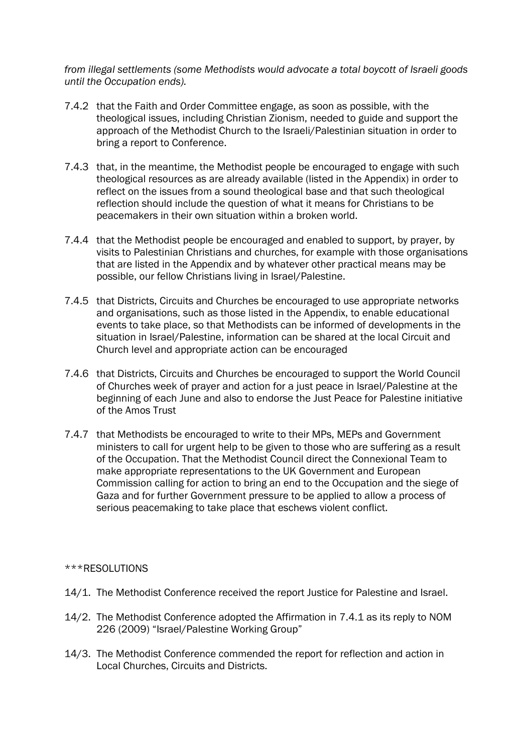from illegal settlements (some Methodists would advocate a total boycott of Israeli goods until the Occupation ends).

- 7.4.2 that the Faith and Order Committee engage, as soon as possible, with the theological issues, including Christian Zionism, needed to guide and support the approach of the Methodist Church to the Israeli/Palestinian situation in order to bring a report to Conference.
- 7.4.3 that, in the meantime, the Methodist people be encouraged to engage with such theological resources as are already available (listed in the Appendix) in order to reflect on the issues from a sound theological base and that such theological reflection should include the question of what it means for Christians to be peacemakers in their own situation within a broken world.
- 7.4.4 that the Methodist people be encouraged and enabled to support, by prayer, by visits to Palestinian Christians and churches, for example with those organisations that are listed in the Appendix and by whatever other practical means may be possible, our fellow Christians living in Israel/Palestine.
- 7.4.5 that Districts, Circuits and Churches be encouraged to use appropriate networks and organisations, such as those listed in the Appendix, to enable educational events to take place, so that Methodists can be informed of developments in the situation in Israel/Palestine, information can be shared at the local Circuit and Church level and appropriate action can be encouraged
- 7.4.6 that Districts, Circuits and Churches be encouraged to support the World Council of Churches week of prayer and action for a just peace in Israel/Palestine at the beginning of each June and also to endorse the Just Peace for Palestine initiative of the Amos Trust
- 7.4.7 that Methodists be encouraged to write to their MPs, MEPs and Government ministers to call for urgent help to be given to those who are suffering as a result of the Occupation. That the Methodist Council direct the Connexional Team to make appropriate representations to the UK Government and European Commission calling for action to bring an end to the Occupation and the siege of Gaza and for further Government pressure to be applied to allow a process of serious peacemaking to take place that eschews violent conflict.

### \*\*\*RESOLUTIONS

- 14/1. The Methodist Conference received the report Justice for Palestine and Israel.
- 14/2. The Methodist Conference adopted the Affirmation in 7.4.1 as its reply to NOM 226 (2009) "Israel/Palestine Working Group"
- 14/3. The Methodist Conference commended the report for reflection and action in Local Churches, Circuits and Districts.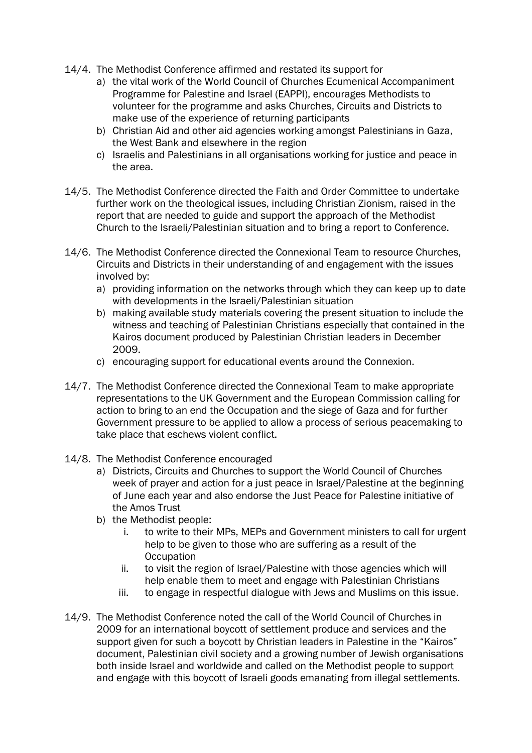- 14/4. The Methodist Conference affirmed and restated its support for
	- a) the vital work of the World Council of Churches Ecumenical Accompaniment Programme for Palestine and Israel (EAPPI), encourages Methodists to volunteer for the programme and asks Churches, Circuits and Districts to make use of the experience of returning participants
	- b) Christian Aid and other aid agencies working amongst Palestinians in Gaza, the West Bank and elsewhere in the region
	- c) Israelis and Palestinians in all organisations working for justice and peace in the area.
- 14/5. The Methodist Conference directed the Faith and Order Committee to undertake further work on the theological issues, including Christian Zionism, raised in the report that are needed to guide and support the approach of the Methodist Church to the Israeli/Palestinian situation and to bring a report to Conference.
- 14/6. The Methodist Conference directed the Connexional Team to resource Churches, Circuits and Districts in their understanding of and engagement with the issues involved by:
	- a) providing information on the networks through which they can keep up to date with developments in the Israeli/Palestinian situation
	- b) making available study materials covering the present situation to include the witness and teaching of Palestinian Christians especially that contained in the Kairos document produced by Palestinian Christian leaders in December 2009.
	- c) encouraging support for educational events around the Connexion.
- 14/7. The Methodist Conference directed the Connexional Team to make appropriate representations to the UK Government and the European Commission calling for action to bring to an end the Occupation and the siege of Gaza and for further Government pressure to be applied to allow a process of serious peacemaking to take place that eschews violent conflict.
- 14/8. The Methodist Conference encouraged
	- a) Districts, Circuits and Churches to support the World Council of Churches week of prayer and action for a just peace in Israel/Palestine at the beginning of June each year and also endorse the Just Peace for Palestine initiative of the Amos Trust
	- b) the Methodist people:
		- i. to write to their MPs, MEPs and Government ministers to call for urgent help to be given to those who are suffering as a result of the **Occupation**
		- ii. to visit the region of Israel/Palestine with those agencies which will help enable them to meet and engage with Palestinian Christians
		- iii. to engage in respectful dialogue with Jews and Muslims on this issue.
- 14/9. The Methodist Conference noted the call of the World Council of Churches in 2009 for an international boycott of settlement produce and services and the support given for such a boycott by Christian leaders in Palestine in the "Kairos" document, Palestinian civil society and a growing number of Jewish organisations both inside Israel and worldwide and called on the Methodist people to support and engage with this boycott of Israeli goods emanating from illegal settlements.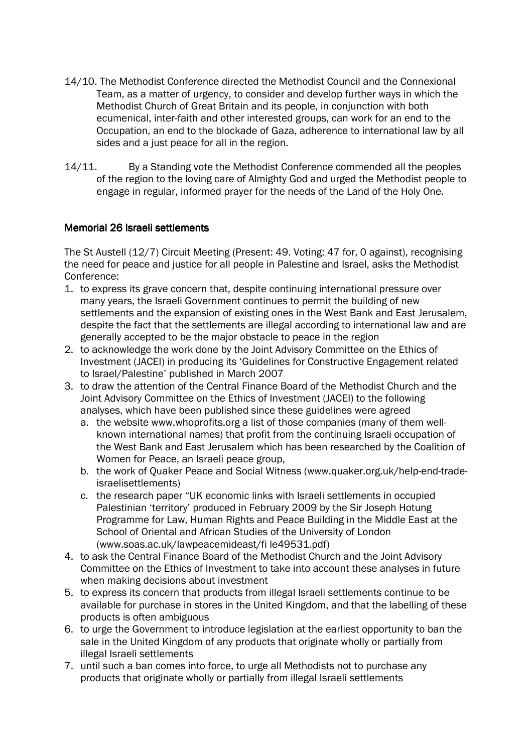- 14/10. The Methodist Conference directed the Methodist Council and the Connexional Team, as a matter of urgency, to consider and develop further ways in which the Methodist Church of Great Britain and its people, in conjunction with both ecumenical, inter-faith and other interested groups, can work for an end to the Occupation, an end to the blockade of Gaza, adherence to international law by all sides and a just peace for all in the region.
- 14/11. By a Standing vote the Methodist Conference commended all the peoples of the region to the loving care of Almighty God and urged the Methodist people to engage in regular, informed prayer for the needs of the Land of the Holy One.

# Memorial 26 Israeli settlements

The St Austell (12/7) Circuit Meeting (Present: 49. Voting: 47 for, 0 against), recognising the need for peace and justice for all people in Palestine and Israel, asks the Methodist Conference:

- 1. to express its grave concern that, despite continuing international pressure over many years, the Israeli Government continues to permit the building of new settlements and the expansion of existing ones in the West Bank and East Jerusalem, despite the fact that the settlements are illegal according to international law and are generally accepted to be the major obstacle to peace in the region
- 2. to acknowledge the work done by the Joint Advisory Committee on the Ethics of Investment (JACEI) in producing its 'Guidelines for Constructive Engagement related to Israel/Palestine' published in March 2007
- 3. to draw the attention of the Central Finance Board of the Methodist Church and the Joint Advisory Committee on the Ethics of Investment (JACEI) to the following analyses, which have been published since these guidelines were agreed
	- a. the website www.whoprofits.org a list of those companies (many of them wellknown international names) that profit from the continuing Israeli occupation of the West Bank and East Jerusalem which has been researched by the Coalition of Women for Peace, an Israeli peace group,
	- b. the work of Quaker Peace and Social Witness (www.quaker.org.uk/help-end-tradeisraelisettlements)
	- c. the research paper "UK economic links with Israeli settlements in occupied Palestinian 'territory' produced in February 2009 by the Sir Joseph Hotung Programme for Law, Human Rights and Peace Building in the Middle East at the School of Oriental and African Studies of the University of London (www.soas.ac.uk/lawpeacemideast/fi le49531.pdf)
- 4. to ask the Central Finance Board of the Methodist Church and the Joint Advisory Committee on the Ethics of Investment to take into account these analyses in future when making decisions about investment
- 5. to express its concern that products from illegal Israeli settlements continue to be available for purchase in stores in the United Kingdom, and that the labelling of these products is often ambiguous
- 6. to urge the Government to introduce legislation at the earliest opportunity to ban the sale in the United Kingdom of any products that originate wholly or partially from illegal Israeli settlements
- 7. until such a ban comes into force, to urge all Methodists not to purchase any products that originate wholly or partially from illegal Israeli settlements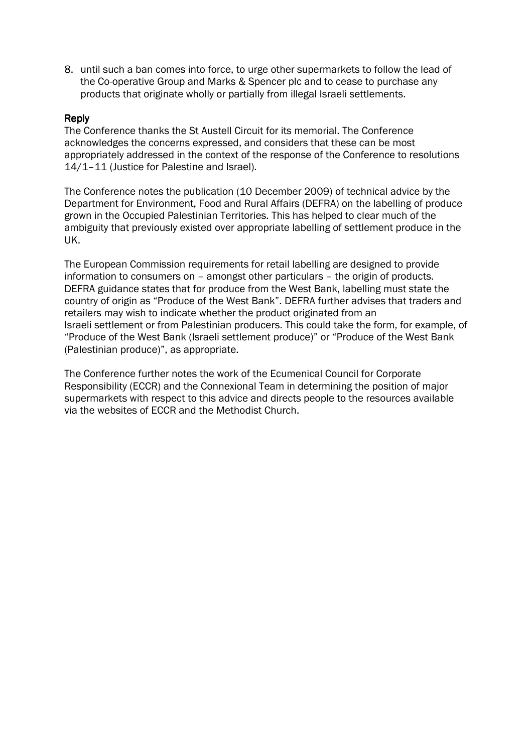8. until such a ban comes into force, to urge other supermarkets to follow the lead of the Co-operative Group and Marks & Spencer plc and to cease to purchase any products that originate wholly or partially from illegal Israeli settlements.

### Reply

The Conference thanks the St Austell Circuit for its memorial. The Conference acknowledges the concerns expressed, and considers that these can be most appropriately addressed in the context of the response of the Conference to resolutions 14/1–11 (Justice for Palestine and Israel).

The Conference notes the publication (10 December 2009) of technical advice by the Department for Environment, Food and Rural Affairs (DEFRA) on the labelling of produce grown in the Occupied Palestinian Territories. This has helped to clear much of the ambiguity that previously existed over appropriate labelling of settlement produce in the UK.

The European Commission requirements for retail labelling are designed to provide information to consumers on – amongst other particulars – the origin of products. DEFRA guidance states that for produce from the West Bank, labelling must state the country of origin as "Produce of the West Bank". DEFRA further advises that traders and retailers may wish to indicate whether the product originated from an Israeli settlement or from Palestinian producers. This could take the form, for example, of "Produce of the West Bank (Israeli settlement produce)" or "Produce of the West Bank (Palestinian produce)", as appropriate.

The Conference further notes the work of the Ecumenical Council for Corporate Responsibility (ECCR) and the Connexional Team in determining the position of major supermarkets with respect to this advice and directs people to the resources available via the websites of ECCR and the Methodist Church.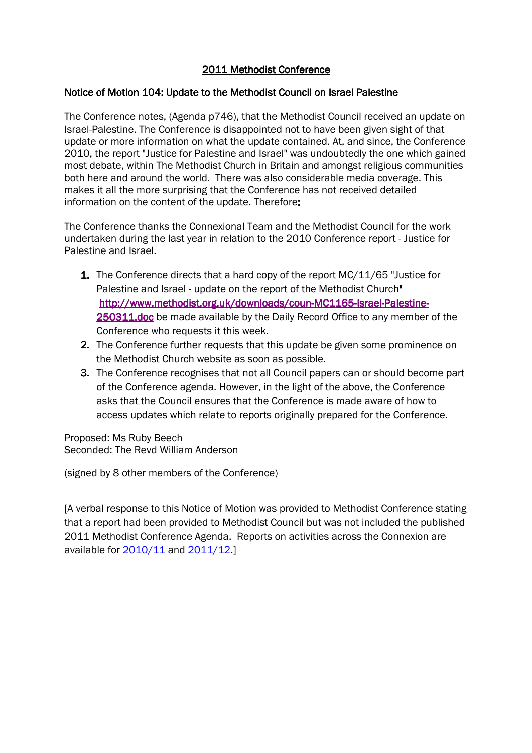# 2011 Methodist Conference 2011 Methodist Conference

### Notice of Motion 104: Update to the Methodist Council on Israel Palestine

The Conference notes, (Agenda p746), that the Methodist Council received an update on Israel-Palestine. The Conference is disappointed not to have been given sight of that update or more information on what the update contained. At, and since, the Conference 2010, the report "Justice for Palestine and Israel" was undoubtedly the one which gained most debate, within The Methodist Church in Britain and amongst religious communities both here and around the world. There was also considerable media coverage. This makes it all the more surprising that the Conference has not received detailed information on the content of the update. Therefore:

The Conference thanks the Connexional Team and the Methodist Council for the work undertaken during the last year in relation to the 2010 Conference report - Justice for Palestine and Israel.

- 1. The Conference directs that a hard copy of the report MC/11/65 "Justice for Palestine and Israel - update on the report of the Methodist Church" http://www.methodist.org.uk/downloads/coun-MC1165-Israel-Palestine-250311.doc be made available by the Daily Record Office to any member of the Conference who requests it this week.
- 2. The Conference further requests that this update be given some prominence on the Methodist Church website as soon as possible.
- **3.** The Conference recognises that not all Council papers can or should become part of the Conference agenda. However, in the light of the above, the Conference asks that the Council ensures that the Conference is made aware of how to access updates which relate to reports originally prepared for the Conference.

Proposed: Ms Ruby Beech Seconded: The Revd William Anderson

(signed by 8 other members of the Conference)

[A verbal response to this Notice of Motion was provided to Methodist Conference stating that a report had been provided to Methodist Council but was not included the published 2011 Methodist Conference Agenda. Reports on activities across the Connexion are available for  $\frac{2010}{11}$  and  $\frac{2011}{12}$ .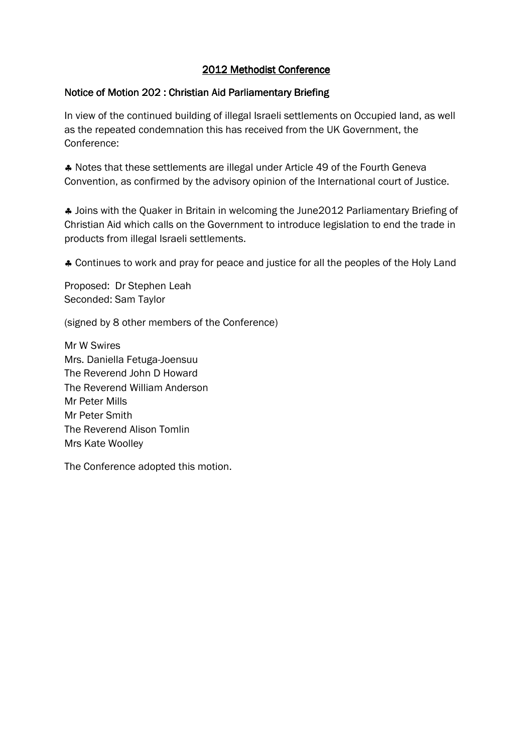# Notice of Motion 202 : Christian Aid Parliamentary Briefing

In view of the continued building of illegal Israeli settlements on Occupied land, as well as the repeated condemnation this has received from the UK Government, the Conference:

♣ Notes that these settlements are illegal under Article 49 of the Fourth Geneva Convention, as confirmed by the advisory opinion of the International court of Justice.

♣ Joins with the Quaker in Britain in welcoming the June2012 Parliamentary Briefing of Christian Aid which calls on the Government to introduce legislation to end the trade in products from illegal Israeli settlements.

♣ Continues to work and pray for peace and justice for all the peoples of the Holy Land

Proposed: Dr Stephen Leah Seconded: Sam Taylor

(signed by 8 other members of the Conference)

Mr W Swires Mrs. Daniella Fetuga-Joensuu The Reverend John D Howard The Reverend William Anderson Mr Peter Mills Mr Peter Smith The Reverend Alison Tomlin Mrs Kate Woolley

The Conference adopted this motion.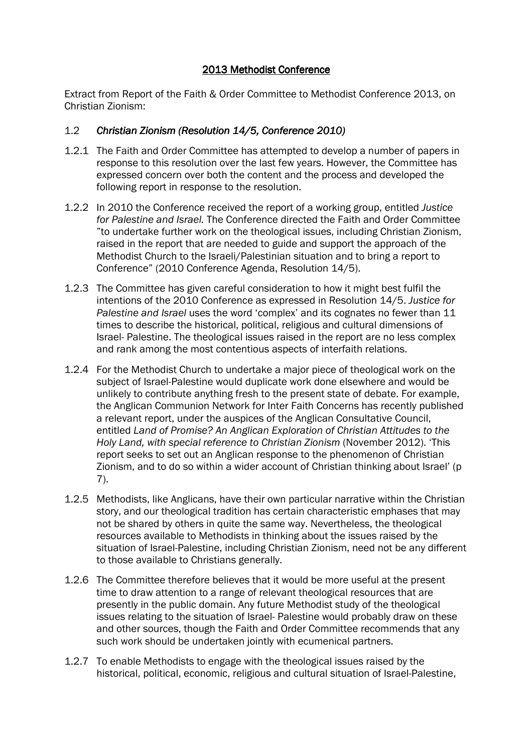Extract from Report of the Faith & Order Committee to Methodist Conference 2013, on Christian Zionism:

# 1.2 Christian Zionism (Resolution 14/5, Conference 2010)

- 1.2.1 The Faith and Order Committee has attempted to develop a number of papers in response to this resolution over the last few years. However, the Committee has expressed concern over both the content and the process and developed the following report in response to the resolution.
- 1.2.2 In 2010 the Conference received the report of a working group, entitled Justice for Palestine and Israel. The Conference directed the Faith and Order Committee "to undertake further work on the theological issues, including Christian Zionism, raised in the report that are needed to guide and support the approach of the Methodist Church to the Israeli/Palestinian situation and to bring a report to Conference" (2010 Conference Agenda, Resolution 14/5).
- 1.2.3 The Committee has given careful consideration to how it might best fulfil the intentions of the 2010 Conference as expressed in Resolution 14/5. Justice for Palestine and Israel uses the word 'complex' and its cognates no fewer than 11 times to describe the historical, political, religious and cultural dimensions of Israel- Palestine. The theological issues raised in the report are no less complex and rank among the most contentious aspects of interfaith relations.
- 1.2.4 For the Methodist Church to undertake a major piece of theological work on the subject of Israel-Palestine would duplicate work done elsewhere and would be unlikely to contribute anything fresh to the present state of debate. For example, the Anglican Communion Network for Inter Faith Concerns has recently published a relevant report, under the auspices of the Anglican Consultative Council, entitled Land of Promise? An Anglican Exploration of Christian Attitudes to the Holy Land, with special reference to Christian Zionism (November 2012). 'This report seeks to set out an Anglican response to the phenomenon of Christian Zionism, and to do so within a wider account of Christian thinking about Israel' (p 7).
- 1.2.5 Methodists, like Anglicans, have their own particular narrative within the Christian story, and our theological tradition has certain characteristic emphases that may not be shared by others in quite the same way. Nevertheless, the theological resources available to Methodists in thinking about the issues raised by the situation of Israel-Palestine, including Christian Zionism, need not be any different to those available to Christians generally.
- 1.2.6 The Committee therefore believes that it would be more useful at the present time to draw attention to a range of relevant theological resources that are presently in the public domain. Any future Methodist study of the theological issues relating to the situation of Israel- Palestine would probably draw on these and other sources, though the Faith and Order Committee recommends that any such work should be undertaken jointly with ecumenical partners.
- 1.2.7 To enable Methodists to engage with the theological issues raised by the historical, political, economic, religious and cultural situation of Israel-Palestine,